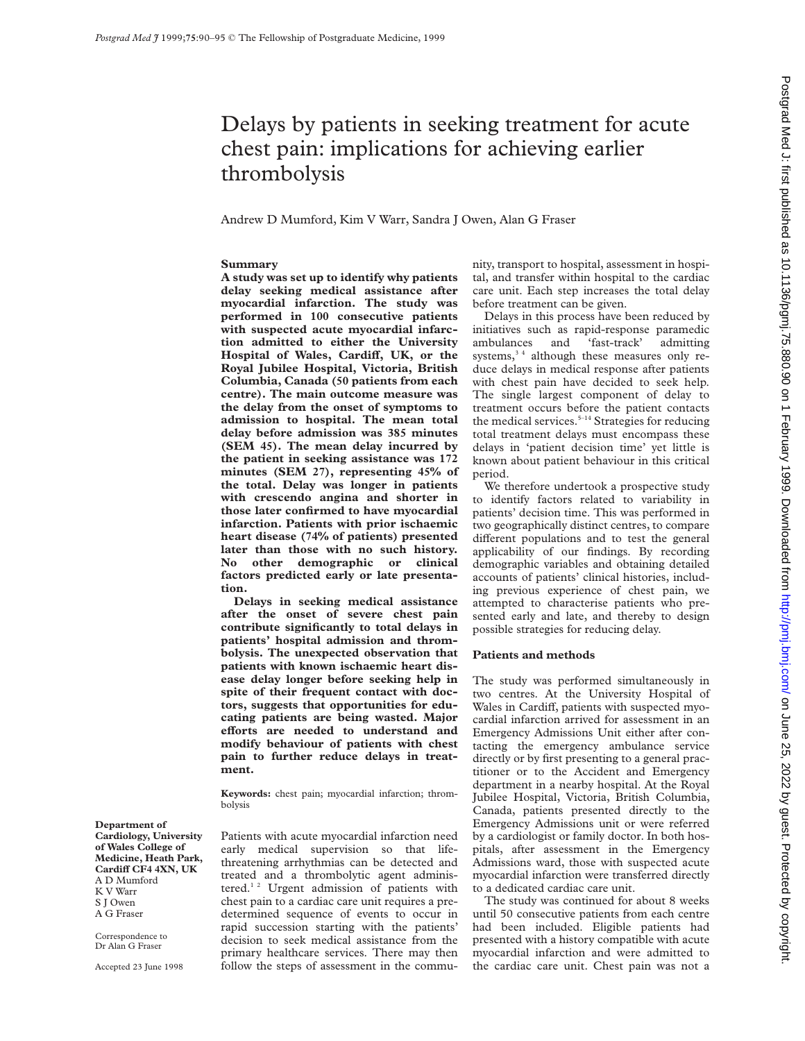# Delays by patients in seeking treatment for acute chest pain: implications for achieving earlier thrombolysis

Andrew D Mumford, Kim V Warr, Sandra J Owen, Alan G Fraser

# **Summary**

**A study was set up to identify why patients delay seeking medical assistance after myocardial infarction. The study was performed in 100 consecutive patients with suspected acute myocardial infarction admitted to either the University** Hospital of Wales, Cardiff, UK, or the **Royal Jubilee Hospital, Victoria, British Columbia, Canada (50 patients from each centre). The main outcome measure was the delay from the onset of symptoms to admission to hospital. The mean total delay before admission was 385 minutes (SEM 45). The mean delay incurred by the patient in seeking assistance was 172 minutes (SEM 27), representing 45% of the total. Delay was longer in patients with crescendo angina and shorter in those later confirmed to have myocardial infarction. Patients with prior ischaemic heart disease (74% of patients) presented later than those with no such history. No other demographic or clinical factors predicted early or late presentation.**

**Delays in seeking medical assistance after the onset of severe chest pain contribute significantly to total delays in patients' hospital admission and thrombolysis. The unexpected observation that patients with known ischaemic heart disease delay longer before seeking help in spite of their frequent contact with doctors, suggests that opportunities for educating patients are being wasted. Major eVorts are needed to understand and modify behaviour of patients with chest pain to further reduce delays in treatment.**

**Keywords:** chest pain; myocardial infarction; thrombolysis

**Department of Cardiology, University of Wales College of Medicine, Heath Park, CardiV CF4 4XN, UK** A D Mumford K V Warr S J Owen A G Fraser

Correspondence to Dr Alan G Fraser

Accepted 23 June 1998

Patients with acute myocardial infarction need early medical supervision so that lifethreatening arrhythmias can be detected and treated and a thrombolytic agent administered.<sup>12</sup> Urgent admission of patients with chest pain to a cardiac care unit requires a predetermined sequence of events to occur in rapid succession starting with the patients' decision to seek medical assistance from the primary healthcare services. There may then follow the steps of assessment in the community, transport to hospital, assessment in hospital, and transfer within hospital to the cardiac care unit. Each step increases the total delay before treatment can be given.

Delays in this process have been reduced by initiatives such as rapid-response paramedic ambulances and 'fast-track' admitting systems, $3<sup>4</sup>$  although these measures only reduce delays in medical response after patients with chest pain have decided to seek help. The single largest component of delay to treatment occurs before the patient contacts the medical services.<sup> $5-14$ </sup> Strategies for reducing total treatment delays must encompass these delays in 'patient decision time' yet little is known about patient behaviour in this critical period.

We therefore undertook a prospective study to identify factors related to variability in patients' decision time. This was performed in two geographically distinct centres, to compare different populations and to test the general applicability of our findings. By recording demographic variables and obtaining detailed accounts of patients' clinical histories, including previous experience of chest pain, we attempted to characterise patients who presented early and late, and thereby to design possible strategies for reducing delay.

#### **Patients and methods**

The study was performed simultaneously in two centres. At the University Hospital of Wales in Cardiff, patients with suspected myocardial infarction arrived for assessment in an Emergency Admissions Unit either after contacting the emergency ambulance service directly or by first presenting to a general practitioner or to the Accident and Emergency department in a nearby hospital. At the Royal Jubilee Hospital, Victoria, British Columbia, Canada, patients presented directly to the Emergency Admissions unit or were referred by a cardiologist or family doctor. In both hospitals, after assessment in the Emergency Admissions ward, those with suspected acute myocardial infarction were transferred directly to a dedicated cardiac care unit.

The study was continued for about 8 weeks until 50 consecutive patients from each centre had been included. Eligible patients had presented with a history compatible with acute myocardial infarction and were admitted to the cardiac care unit. Chest pain was not a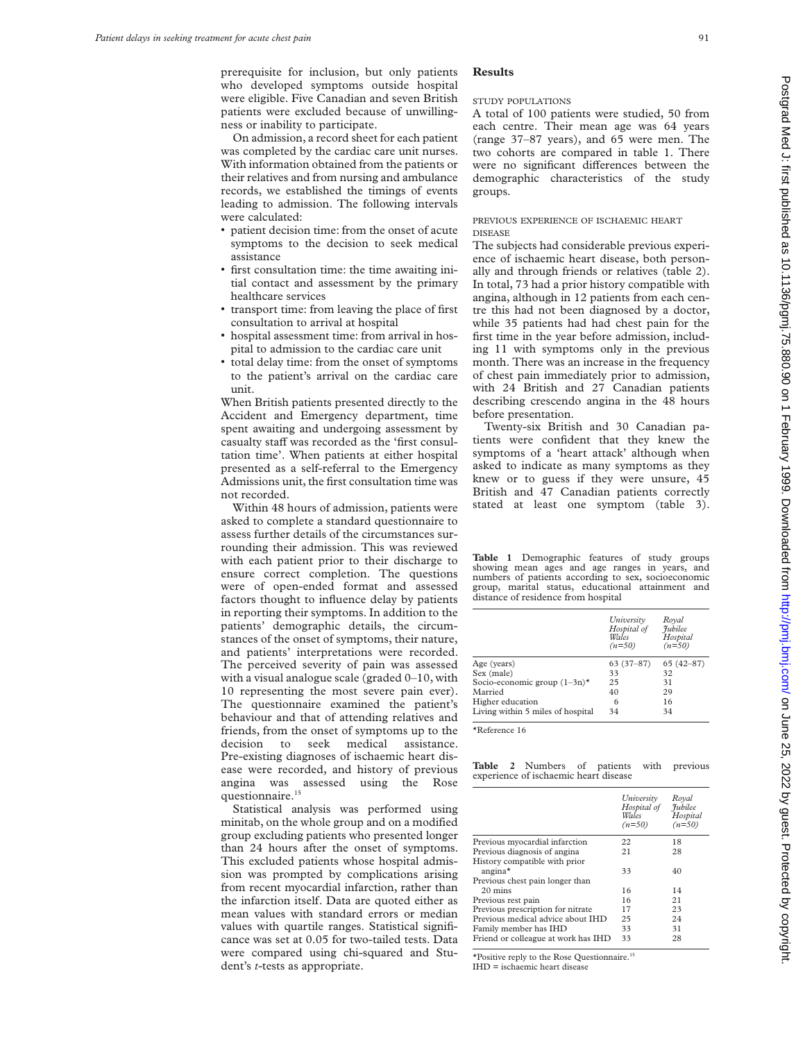prerequisite for inclusion, but only patients who developed symptoms outside hospital were eligible. Five Canadian and seven British patients were excluded because of unwillingness or inability to participate.

On admission, a record sheet for each patient was completed by the cardiac care unit nurses. With information obtained from the patients or their relatives and from nursing and ambulance records, we established the timings of events leading to admission. The following intervals were calculated:

- v patient decision time: from the onset of acute symptoms to the decision to seek medical assistance
- v first consultation time: the time awaiting initial contact and assessment by the primary healthcare services
- v transport time: from leaving the place of first consultation to arrival at hospital
- v hospital assessment time: from arrival in hospital to admission to the cardiac care unit
- v total delay time: from the onset of symptoms to the patient's arrival on the cardiac care unit.

When British patients presented directly to the Accident and Emergency department, time spent awaiting and undergoing assessment by casualty staff was recorded as the 'first consultation time'. When patients at either hospital presented as a self-referral to the Emergency Admissions unit, the first consultation time was not recorded.

Within 48 hours of admission, patients were asked to complete a standard questionnaire to assess further details of the circumstances surrounding their admission. This was reviewed with each patient prior to their discharge to ensure correct completion. The questions were of open-ended format and assessed factors thought to influence delay by patients in reporting their symptoms. In addition to the patients' demographic details, the circumstances of the onset of symptoms, their nature, and patients' interpretations were recorded. The perceived severity of pain was assessed with a visual analogue scale (graded 0–10, with 10 representing the most severe pain ever). The questionnaire examined the patient's behaviour and that of attending relatives and friends, from the onset of symptoms up to the decision to seek medical assistance. Pre-existing diagnoses of ischaemic heart disease were recorded, and history of previous angina was assessed using the Rose questionnaire.<sup>15</sup>

Statistical analysis was performed using minitab, on the whole group and on a modified group excluding patients who presented longer than 24 hours after the onset of symptoms. This excluded patients whose hospital admission was prompted by complications arising from recent myocardial infarction, rather than the infarction itself. Data are quoted either as mean values with standard errors or median values with quartile ranges. Statistical significance was set at 0.05 for two-tailed tests. Data were compared using chi-squared and Student's *t-*tests as appropriate.

## **Results**

#### STUDY POPULATIONS

A total of 100 patients were studied, 50 from each centre. Their mean age was 64 years (range 37–87 years), and 65 were men. The two cohorts are compared in table 1. There were no significant differences between the demographic characteristics of the study groups.

#### PREVIOUS EXPERIENCE OF ISCHAEMIC HEART DISEASE

The subjects had considerable previous experience of ischaemic heart disease, both personally and through friends or relatives (table 2). In total, 73 had a prior history compatible with angina, although in 12 patients from each centre this had not been diagnosed by a doctor, while 35 patients had had chest pain for the first time in the year before admission, including 11 with symptoms only in the previous month. There was an increase in the frequency of chest pain immediately prior to admission, with 24 British and 27 Canadian patients describing crescendo angina in the 48 hours before presentation.

Twenty-six British and 30 Canadian patients were confident that they knew the symptoms of a 'heart attack' although when asked to indicate as many symptoms as they knew or to guess if they were unsure, 45 British and 47 Canadian patients correctly stated at least one symptom (table 3).

**Table 1** Demographic features of study groups showing mean ages and age ranges in years, and numbers of patients according to sex, socioeconomic group, marital status, educational attainment and distance of residence from hospital

|                                            | University<br>Hospital of<br>Wales<br>$(n=50)$ | Royal<br><i><u>Tubilee</u></i><br>Hospital<br>$(n=50)$ |
|--------------------------------------------|------------------------------------------------|--------------------------------------------------------|
| Age (years)                                | $63(37-87)$                                    | $65(42 - 87)$                                          |
| Sex (male)                                 | 33                                             | 32                                                     |
| Socio-economic group $(1-3n)$ <sup>*</sup> | 25                                             | 31                                                     |
| Married                                    | 40                                             | 29                                                     |
| Higher education                           | 6                                              | 16                                                     |
| Living within 5 miles of hospital          | 34                                             | 34                                                     |

\*Reference 16

**Table 2** Numbers of patients with previous experience of ischaemic heart disease

| University<br>Hospital of<br>Wales<br>$(n=50)$ | Royal<br><i>Fubilee</i><br>Hospital<br>$(n=50)$ |
|------------------------------------------------|-------------------------------------------------|
| 22                                             | 18                                              |
| 21                                             | 28                                              |
| 33                                             | 40                                              |
|                                                |                                                 |
| 16                                             | 14                                              |
| 16                                             | 21                                              |
| 17                                             | 23                                              |
| 25                                             | 24                                              |
| 33                                             | 31                                              |
| 33                                             | 28                                              |
|                                                |                                                 |

\*Positive reply to the Rose Questionnaire.15 IHD = ischaemic heart disease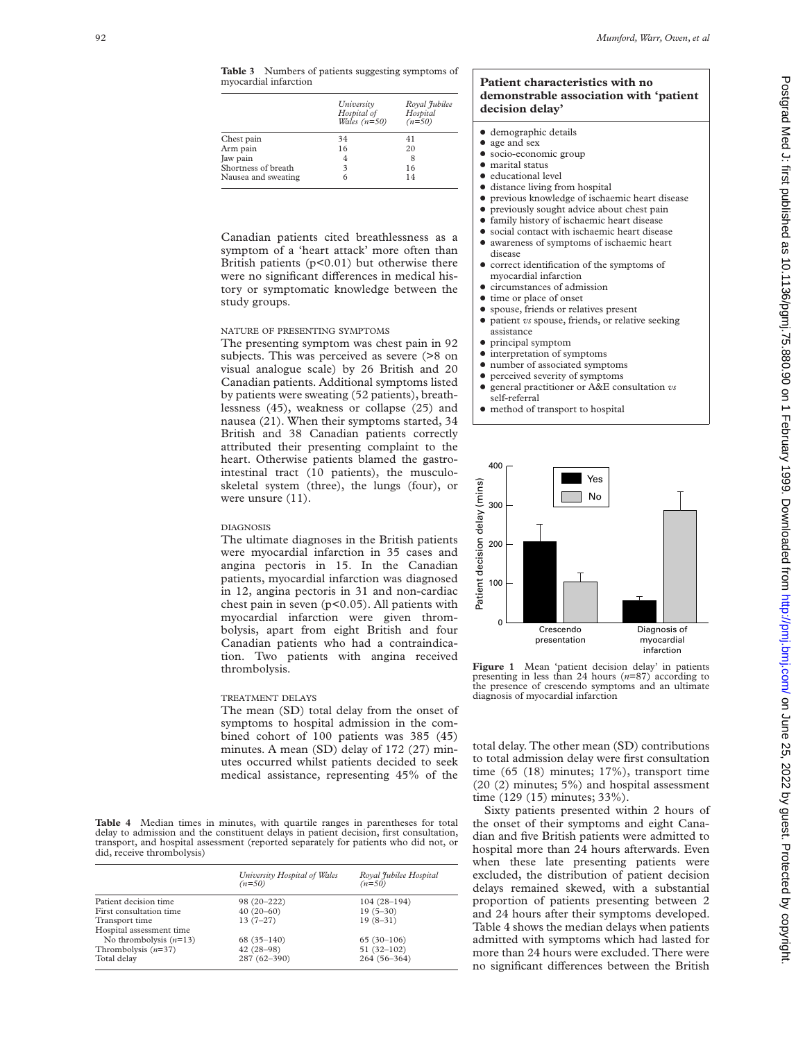**Table 3** Numbers of patients suggesting symptoms of myocardial infarction

|                     | University<br>Hospital of<br>Wales $(n=50)$ | Royal Jubilee<br>Hospital<br>$(n=50)$ |
|---------------------|---------------------------------------------|---------------------------------------|
| Chest pain          | 34                                          | 41                                    |
| Arm pain            | 16                                          | 20                                    |
| Jaw pain            | 4                                           | 8                                     |
| Shortness of breath | 3                                           | 16                                    |
| Nausea and sweating | 6                                           | 14                                    |

Canadian patients cited breathlessness as a symptom of a 'heart attack' more often than British patients  $(p<0.01)$  but otherwise there were no significant differences in medical history or symptomatic knowledge between the study groups.

# NATURE OF PRESENTING SYMPTOMS

The presenting symptom was chest pain in 92 subjects. This was perceived as severe (>8 on visual analogue scale) by 26 British and 20 Canadian patients. Additional symptoms listed by patients were sweating (52 patients), breathlessness (45), weakness or collapse (25) and nausea (21). When their symptoms started, 34 British and 38 Canadian patients correctly attributed their presenting complaint to the heart. Otherwise patients blamed the gastrointestinal tract (10 patients), the musculoskeletal system (three), the lungs (four), or were unsure (11).

## DIAGNOSIS

The ultimate diagnoses in the British patients were myocardial infarction in 35 cases and angina pectoris in 15. In the Canadian patients, myocardial infarction was diagnosed in 12, angina pectoris in 31 and non-cardiac chest pain in seven  $(p<0.05)$ . All patients with myocardial infarction were given thrombolysis, apart from eight British and four Canadian patients who had a contraindication. Two patients with angina received thrombolysis.

## TREATMENT DELAYS

The mean (SD) total delay from the onset of symptoms to hospital admission in the combined cohort of 100 patients was 385 (45) minutes. A mean (SD) delay of 172 (27) minutes occurred whilst patients decided to seek medical assistance, representing 45% of the

**Table 4** Median times in minutes, with quartile ranges in parentheses for total delay to admission and the constituent delays in patient decision, first consultation, transport, and hospital assessment (reported separately for patients who did not, or did, receive thrombolysis)

|                          | University Hospital of Wales<br>$(n=50)$ | Royal Jubilee Hospital<br>$(n=50)$ |
|--------------------------|------------------------------------------|------------------------------------|
| Patient decision time    | 98 (20-222)                              | $104(28-194)$                      |
| First consultation time  | $40(20-60)$                              | $19(5-30)$                         |
| Transport time           | $13(7-27)$                               | $19(8-31)$                         |
| Hospital assessment time |                                          |                                    |
| No thrombolysis $(n=13)$ | $68(35-140)$                             | $65(30-106)$                       |
| Thrombolysis $(n=37)$    | $42(28-98)$                              | $51(32-102)$                       |
| Total delay              | 287 (62-390)                             | 264 (56-364)                       |
|                          |                                          |                                    |

## **Patient characteristics with no demonstrable association with 'patient decision delay'**

- $\bullet$  demographic details
- age and sex
- $\bullet$  socio-economic group  $\bullet$  marital status
- $\bullet$  educational level
- distance living from hospital
- $\bullet$  previous knowledge of ischaemic heart disease
- $\bullet$  previously sought advice about chest pain
- $\bullet$  family history of ischaemic heart disease
- $\bullet$  social contact with ischaemic heart disease  $\bullet$  awareness of symptoms of ischaemic heart
- disease
- $\bullet$  correct identification of the symptoms of myocardial infarction
- $\bullet$  circumstances of admission
- $\bullet$  time or place of onset
- spouse, friends or relatives present
- patient *vs* spouse, friends, or relative seeking assistance
- $\bullet$  principal symptom
- $\bullet$  interpretation of symptoms
- number of associated symptoms
- perceived severity of symptoms
- general practitioner or A&E consultation *vs* self-referral
- $\bullet$  method of transport to hospital



Figure 1 Mean 'patient decision delay' in patients presenting in less than 24 hours (*n*=87) according to the presence of crescendo symptoms and an ultimate diagnosis of myocardial infarction

total delay. The other mean (SD) contributions to total admission delay were first consultation time (65 (18) minutes; 17%), transport time (20 (2) minutes; 5%) and hospital assessment time (129 (15) minutes; 33%).

Sixty patients presented within 2 hours of the onset of their symptoms and eight Canadian and five British patients were admitted to hospital more than 24 hours afterwards. Even when these late presenting patients were excluded, the distribution of patient decision delays remained skewed, with a substantial proportion of patients presenting between 2 and 24 hours after their symptoms developed. Table 4 shows the median delays when patients admitted with symptoms which had lasted for more than 24 hours were excluded. There were no significant differences between the British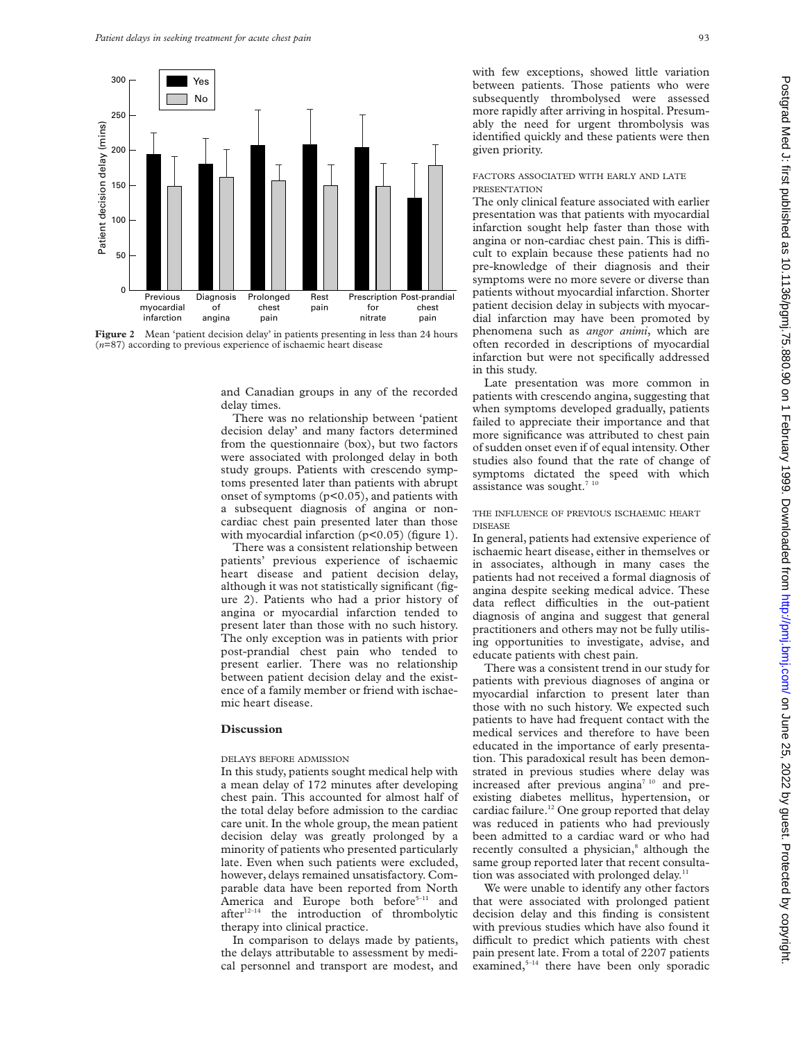

**Figure 2** Mean 'patient decision delay' in patients presenting in less than 24 hours (*n*=87) according to previous experience of ischaemic heart disease

and Canadian groups in any of the recorded delay times.

There was no relationship between 'patient decision delay' and many factors determined from the questionnaire (box), but two factors were associated with prolonged delay in both study groups. Patients with crescendo symptoms presented later than patients with abrupt onset of symptoms (p<0.05), and patients with a subsequent diagnosis of angina or noncardiac chest pain presented later than those with myocardial infarction (p<0.05) (figure 1).

There was a consistent relationship between patients' previous experience of ischaemic heart disease and patient decision delay, although it was not statistically significant (figure 2). Patients who had a prior history of angina or myocardial infarction tended to present later than those with no such history. The only exception was in patients with prior post-prandial chest pain who tended to present earlier. There was no relationship between patient decision delay and the existence of a family member or friend with ischaemic heart disease.

#### **Discussion**

## DELAYS BEFORE ADMISSION

In this study, patients sought medical help with a mean delay of 172 minutes after developing chest pain. This accounted for almost half of the total delay before admission to the cardiac care unit. In the whole group, the mean patient decision delay was greatly prolonged by a minority of patients who presented particularly late. Even when such patients were excluded, however, delays remained unsatisfactory. Comparable data have been reported from North America and Europe both before<sup>5-11</sup> and  $after^{12-14}$  the introduction of thrombolytic therapy into clinical practice.

In comparison to delays made by patients, the delays attributable to assessment by medical personnel and transport are modest, and

with few exceptions, showed little variation between patients. Those patients who were subsequently thrombolysed were assessed more rapidly after arriving in hospital. Presumably the need for urgent thrombolysis was identified quickly and these patients were then given priority.

#### FACTORS ASSOCIATED WITH EARLY AND LATE PRESENTATION

The only clinical feature associated with earlier presentation was that patients with myocardial infarction sought help faster than those with angina or non-cardiac chest pain. This is difficult to explain because these patients had no pre-knowledge of their diagnosis and their symptoms were no more severe or diverse than patients without myocardial infarction. Shorter patient decision delay in subjects with myocardial infarction may have been promoted by phenomena such as *angor animi*, which are often recorded in descriptions of myocardial infarction but were not specifically addressed in this study.

Late presentation was more common in patients with crescendo angina, suggesting that when symptoms developed gradually, patients failed to appreciate their importance and that more significance was attributed to chest pain of sudden onset even if of equal intensity. Other studies also found that the rate of change of symptoms dictated the speed with which assistance was sought. $710$ 

#### THE INFLUENCE OF PREVIOUS ISCHAEMIC HEART DISEASE

In general, patients had extensive experience of ischaemic heart disease, either in themselves or in associates, although in many cases the patients had not received a formal diagnosis of angina despite seeking medical advice. These data reflect difficulties in the out-patient diagnosis of angina and suggest that general practitioners and others may not be fully utilising opportunities to investigate, advise, and educate patients with chest pain.

There was a consistent trend in our study for patients with previous diagnoses of angina or myocardial infarction to present later than those with no such history. We expected such patients to have had frequent contact with the medical services and therefore to have been educated in the importance of early presentation. This paradoxical result has been demonstrated in previous studies where delay was increased after previous angina<sup>7 10</sup> and preexisting diabetes mellitus, hypertension, or cardiac failure.<sup>12</sup> One group reported that delay was reduced in patients who had previously been admitted to a cardiac ward or who had recently consulted a physician,<sup>8</sup> although the same group reported later that recent consultation was associated with prolonged delay.<sup>11</sup>

We were unable to identify any other factors that were associated with prolonged patient decision delay and this finding is consistent with previous studies which have also found it difficult to predict which patients with chest pain present late. From a total of 2207 patients examined, $5-14$  there have been only sporadic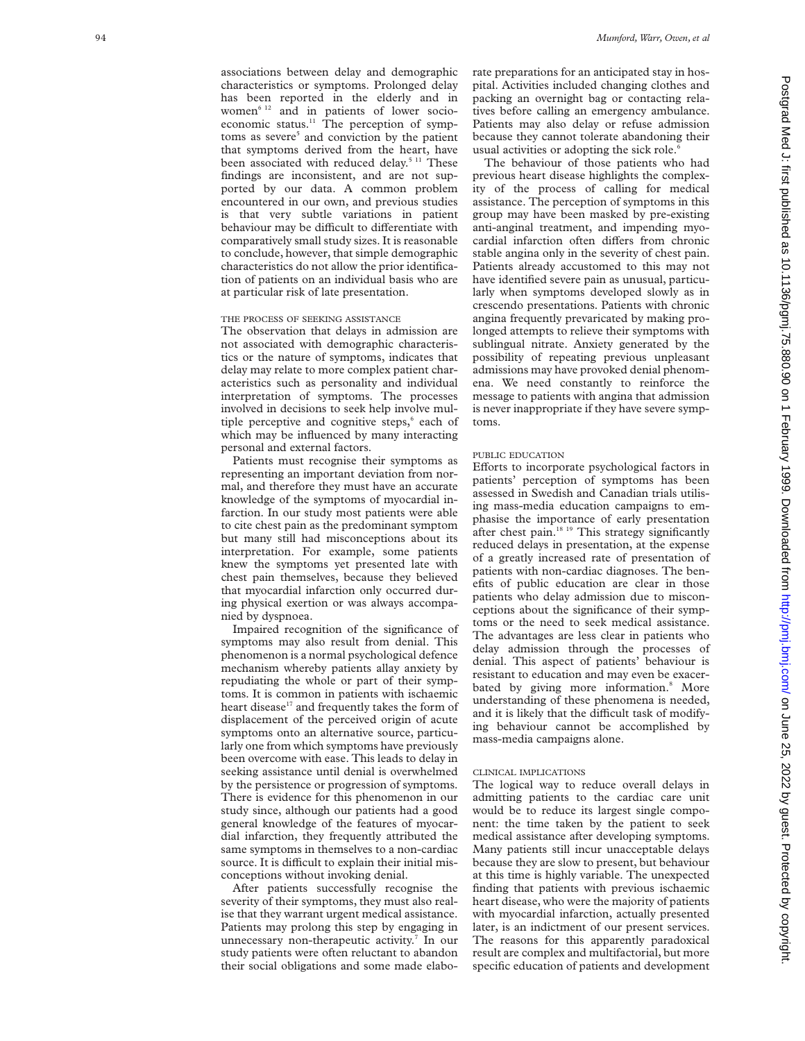associations between delay and demographic characteristics or symptoms. Prolonged delay has been reported in the elderly and in women<sup>6 12</sup> and in patients of lower socioeconomic status. $11$  The perception of symptoms as severe<sup>5</sup> and conviction by the patient that symptoms derived from the heart, have been associated with reduced delay.<sup>5 11</sup> These findings are inconsistent, and are not supported by our data. A common problem encountered in our own, and previous studies is that very subtle variations in patient behaviour may be difficult to differentiate with comparatively small study sizes. It is reasonable to conclude, however, that simple demographic characteristics do not allow the prior identification of patients on an individual basis who are at particular risk of late presentation.

## THE PROCESS OF SEEKING ASSISTANCE

The observation that delays in admission are not associated with demographic characteristics or the nature of symptoms, indicates that delay may relate to more complex patient characteristics such as personality and individual interpretation of symptoms. The processes involved in decisions to seek help involve multiple perceptive and cognitive steps,<sup>6</sup> each of which may be influenced by many interacting personal and external factors.

Patients must recognise their symptoms as representing an important deviation from normal, and therefore they must have an accurate knowledge of the symptoms of myocardial infarction. In our study most patients were able to cite chest pain as the predominant symptom but many still had misconceptions about its interpretation. For example, some patients knew the symptoms yet presented late with chest pain themselves, because they believed that myocardial infarction only occurred during physical exertion or was always accompanied by dyspnoea.

Impaired recognition of the significance of symptoms may also result from denial. This phenomenon is a normal psychological defence mechanism whereby patients allay anxiety by repudiating the whole or part of their symptoms. It is common in patients with ischaemic heart disease<sup>17</sup> and frequently takes the form of displacement of the perceived origin of acute symptoms onto an alternative source, particularly one from which symptoms have previously been overcome with ease. This leads to delay in seeking assistance until denial is overwhelmed by the persistence or progression of symptoms. There is evidence for this phenomenon in our study since, although our patients had a good general knowledge of the features of myocardial infarction, they frequently attributed the same symptoms in themselves to a non-cardiac source. It is difficult to explain their initial misconceptions without invoking denial.

After patients successfully recognise the severity of their symptoms, they must also realise that they warrant urgent medical assistance. Patients may prolong this step by engaging in unnecessary non-therapeutic activity. <sup>7</sup> In our study patients were often reluctant to abandon their social obligations and some made elaborate preparations for an anticipated stay in hospital. Activities included changing clothes and packing an overnight bag or contacting relatives before calling an emergency ambulance. Patients may also delay or refuse admission because they cannot tolerate abandoning their usual activities or adopting the sick role. 6

The behaviour of those patients who had previous heart disease highlights the complexity of the process of calling for medical assistance. The perception of symptoms in this group may have been masked by pre-existing anti-anginal treatment, and impending myocardial infarction often differs from chronic stable angina only in the severity of chest pain. Patients already accustomed to this may not have identified severe pain as unusual, particularly when symptoms developed slowly as in crescendo presentations. Patients with chronic angina frequently prevaricated by making prolonged attempts to relieve their symptoms with sublingual nitrate. Anxiety generated by the possibility of repeating previous unpleasant admissions may have provoked denial phenomena. We need constantly to reinforce the message to patients with angina that admission is never inappropriate if they have severe symptoms.

#### PUBLIC EDUCATION

Efforts to incorporate psychological factors in patients' perception of symptoms has been assessed in Swedish and Canadian trials utilising mass-media education campaigns to emphasise the importance of early presentation after chest pain.<sup>18 19</sup> This strategy significantly reduced delays in presentation, at the expense of a greatly increased rate of presentation of patients with non-cardiac diagnoses. The benefits of public education are clear in those patients who delay admission due to misconceptions about the significance of their symptoms or the need to seek medical assistance. The advantages are less clear in patients who delay admission through the processes of denial. This aspect of patients' behaviour is resistant to education and may even be exacerbated by giving more information.<sup>8</sup> More understanding of these phenomena is needed, and it is likely that the difficult task of modifying behaviour cannot be accomplished by mass-media campaigns alone.

#### CLINICAL IMPLICATIONS

The logical way to reduce overall delays in admitting patients to the cardiac care unit would be to reduce its largest single component: the time taken by the patient to seek medical assistance after developing symptoms. Many patients still incur unacceptable delays because they are slow to present, but behaviour at this time is highly variable. The unexpected finding that patients with previous ischaemic heart disease, who were the majority of patients with myocardial infarction, actually presented later, is an indictment of our present services. The reasons for this apparently paradoxical result are complex and multifactorial, but more specific education of patients and development